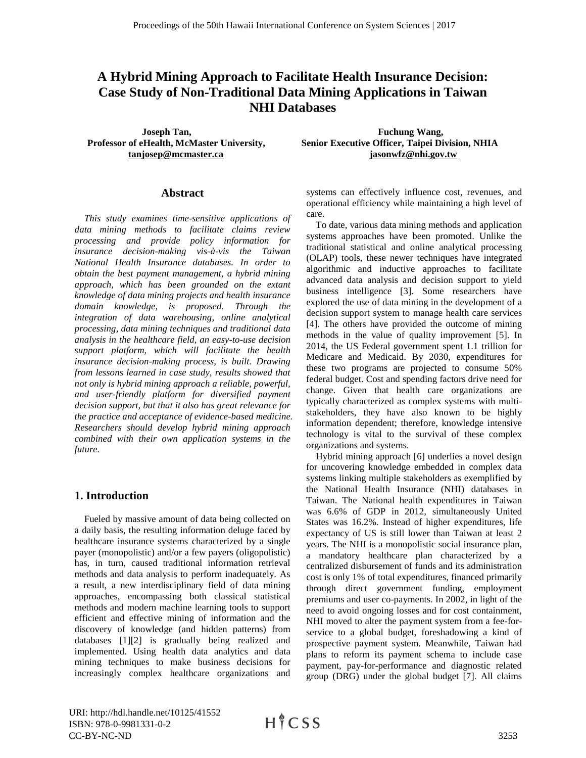# **A Hybrid Mining Approach to Facilitate Health Insurance Decision: Case Study of Non-Traditional Data Mining Applications in Taiwan NHI Databases**

#### **Abstract**

 *This study examines time-sensitive applications of data mining methods to facilitate claims review processing and provide policy information for insurance decision-making vis-à-vis the Taiwan National Health Insurance databases. In order to obtain the best payment management, a hybrid mining approach, which has been grounded on the extant knowledge of data mining projects and health insurance domain knowledge, is proposed. Through the integration of data warehousing, online analytical processing, data mining techniques and traditional data analysis in the healthcare field, an easy-to-use decision support platform, which will facilitate the health insurance decision-making process, is built. Drawing from lessons learned in case study, results showed that not only is hybrid mining approach a reliable, powerful, and user-friendly platform for diversified payment decision support, but that it also has great relevance for the practice and acceptance of evidence-based medicine. Researchers should develop hybrid mining approach combined with their own application systems in the future.*

#### **1. Introduction**

 Fueled by massive amount of data being collected on a daily basis, the resulting information deluge faced by healthcare insurance systems characterized by a single payer (monopolistic) and/or a few payers (oligopolistic) has, in turn, caused traditional information retrieval methods and data analysis to perform inadequately. As a result, a new interdisciplinary field of data mining approaches, encompassing both classical statistical methods and modern machine learning tools to support efficient and effective mining of information and the discovery of knowledge (and hidden patterns) from databases [1][2] is gradually being realized and implemented. Using health data analytics and data mining techniques to make business decisions for increasingly complex healthcare organizations and

**Joseph Tan,**  Fuchung Wang, **Professor of eHealth, McMaster University, Senior Executive Officer, Taipei Division, NHIA [tanjosep@mcmaster.ca](mailto:tanjosep@mcmaster.ca) [jasonwfz@nhi.gov.tw](mailto:jasonwfz@nhi.gov.tw)**

> systems can effectively influence cost, revenues, and operational efficiency while maintaining a high level of care.

 To date, various data mining methods and application systems approaches have been promoted. Unlike the traditional statistical and online analytical processing (OLAP) tools, these newer techniques have integrated algorithmic and inductive approaches to facilitate advanced data analysis and decision support to yield business intelligence [3]. Some researchers have explored the use of data mining in the development of a decision support system to manage health care services [4]. The others have provided the outcome of mining methods in the value of quality improvement [5]. In 2014, the US Federal government spent 1.1 trillion for Medicare and Medicaid. By 2030, expenditures for these two programs are projected to consume 50% federal budget. Cost and spending factors drive need for change. Given that health care organizations are typically characterized as complex systems with multistakeholders, they have also known to be highly information dependent; therefore, knowledge intensive technology is vital to the survival of these complex organizations and systems.

 Hybrid mining approach [6] underlies a novel design for uncovering knowledge embedded in complex data systems linking multiple stakeholders as exemplified by the National Health Insurance (NHI) databases in Taiwan. The National health expenditures in Taiwan was 6.6% of GDP in 2012, simultaneously United States was 16.2%. Instead of higher expenditures, life expectancy of US is still lower than Taiwan at least 2 years. The NHI is a monopolistic social insurance plan, a mandatory healthcare plan characterized by a centralized disbursement of funds and its administration cost is only 1% of total expenditures, financed primarily through direct government funding, employment premiums and user co-payments. In 2002, in light of the need to avoid ongoing losses and for cost containment, NHI moved to alter the payment system from a fee-forservice to a global budget, foreshadowing a kind of prospective payment system. Meanwhile, Taiwan had plans to reform its payment schema to include case payment, pay-for-performance and diagnostic related group (DRG) under the global budget [7]. All claims

URI: http://hdl.handle.net/10125/41552 ISBN: 978-0-9981331-0-2 CC-BY-NC-ND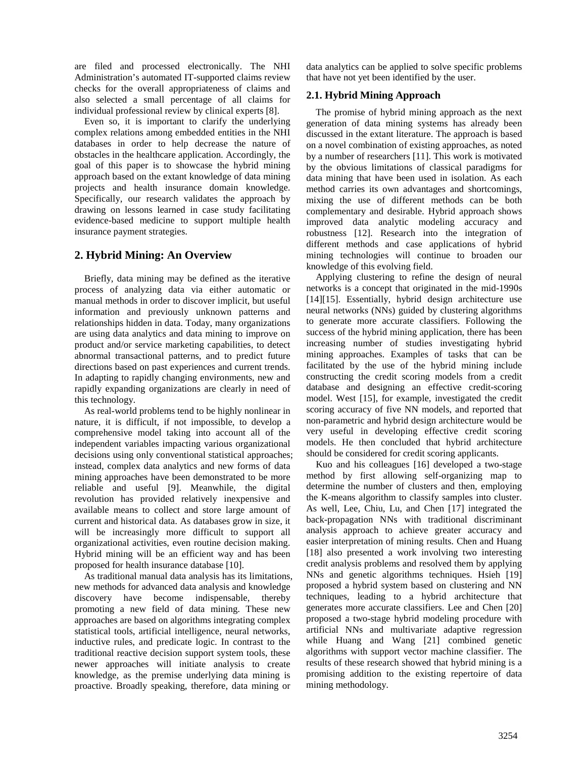are filed and processed electronically. The NHI Administration's automated IT-supported claims review checks for the overall appropriateness of claims and also selected a small percentage of all claims for individual professional review by clinical experts [8].

 Even so, it is important to clarify the underlying complex relations among embedded entities in the NHI databases in order to help decrease the nature of obstacles in the healthcare application. Accordingly, the goal of this paper is to showcase the hybrid mining approach based on the extant knowledge of data mining projects and health insurance domain knowledge. Specifically, our research validates the approach by drawing on lessons learned in case study facilitating evidence-based medicine to support multiple health insurance payment strategies.

# **2. Hybrid Mining: An Overview**

 Briefly, data mining may be defined as the iterative process of analyzing data via either automatic or manual methods in order to discover implicit, but useful information and previously unknown patterns and relationships hidden in data. Today, many organizations are using data analytics and data mining to improve on product and/or service marketing capabilities, to detect abnormal transactional patterns, and to predict future directions based on past experiences and current trends. In adapting to rapidly changing environments, new and rapidly expanding organizations are clearly in need of this technology.

 As real-world problems tend to be highly nonlinear in nature, it is difficult, if not impossible, to develop a comprehensive model taking into account all of the independent variables impacting various organizational decisions using only conventional statistical approaches; instead, complex data analytics and new forms of data mining approaches have been demonstrated to be more reliable and useful [9]. Meanwhile, the digital revolution has provided relatively inexpensive and available means to collect and store large amount of current and historical data. As databases grow in size, it will be increasingly more difficult to support all organizational activities, even routine decision making. Hybrid mining will be an efficient way and has been proposed for health insurance database [10].

 As traditional manual data analysis has its limitations, new methods for advanced data analysis and knowledge discovery have become indispensable, thereby promoting a new field of data mining. These new approaches are based on algorithms integrating complex statistical tools, artificial intelligence, neural networks, inductive rules, and predicate logic. In contrast to the traditional reactive decision support system tools, these newer approaches will initiate analysis to create knowledge, as the premise underlying data mining is proactive. Broadly speaking, therefore, data mining or

data analytics can be applied to solve specific problems that have not yet been identified by the user.

# **2.1. Hybrid Mining Approach**

 The promise of hybrid mining approach as the next generation of data mining systems has already been discussed in the extant literature. The approach is based on a novel combination of existing approaches, as noted by a number of researchers [11]. This work is motivated by the obvious limitations of classical paradigms for data mining that have been used in isolation. As each method carries its own advantages and shortcomings, mixing the use of different methods can be both complementary and desirable. Hybrid approach shows improved data analytic modeling accuracy and robustness [12]. Research into the integration of different methods and case applications of hybrid mining technologies will continue to broaden our knowledge of this evolving field.

 Applying clustering to refine the design of neural networks is a concept that originated in the mid-1990s [14][15]. Essentially, hybrid design architecture use neural networks (NNs) guided by clustering algorithms to generate more accurate classifiers. Following the success of the hybrid mining application, there has been increasing number of studies investigating hybrid mining approaches. Examples of tasks that can be facilitated by the use of the hybrid mining include constructing the credit scoring models from a credit database and designing an effective credit-scoring model. West [15], for example, investigated the credit scoring accuracy of five NN models, and reported that non-parametric and hybrid design architecture would be very useful in developing effective credit scoring models. He then concluded that hybrid architecture should be considered for credit scoring applicants.

 Kuo and his colleagues [16] developed a two-stage method by first allowing self-organizing map to determine the number of clusters and then, employing the K-means algorithm to classify samples into cluster. As well, Lee, Chiu, Lu, and Chen [17] integrated the back-propagation NNs with traditional discriminant analysis approach to achieve greater accuracy and easier interpretation of mining results. Chen and Huang [18] also presented a work involving two interesting credit analysis problems and resolved them by applying NNs and genetic algorithms techniques. Hsieh [19] proposed a hybrid system based on clustering and NN techniques, leading to a hybrid architecture that generates more accurate classifiers. Lee and Chen [20] proposed a two-stage hybrid modeling procedure with artificial NNs and multivariate adaptive regression while Huang and Wang [21] combined genetic algorithms with support vector machine classifier. The results of these research showed that hybrid mining is a promising addition to the existing repertoire of data mining methodology.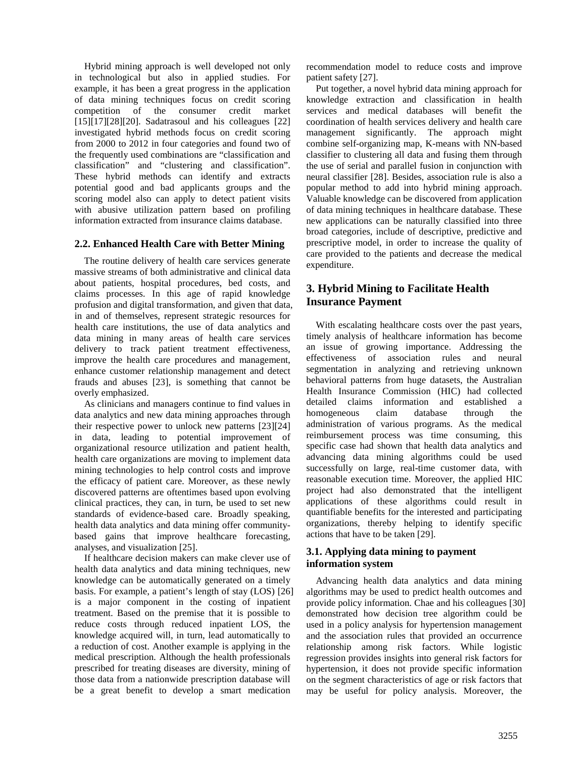Hybrid mining approach is well developed not only in technological but also in applied studies. For example, it has been a great progress in the application of data mining techniques focus on credit scoring competition of the consumer credit market [15][17][28][20]. Sadatrasoul and his colleagues [22] investigated hybrid methods focus on credit scoring from 2000 to 2012 in four categories and found two of the frequently used combinations are "classification and classification" and "clustering and classification". These hybrid methods can identify and extracts potential good and bad applicants groups and the scoring model also can apply to detect patient visits with abusive utilization pattern based on profiling information extracted from insurance claims database.

#### **2.2. Enhanced Health Care with Better Mining**

 The routine delivery of health care services generate massive streams of both administrative and clinical data about patients, hospital procedures, bed costs, and claims processes. In this age of rapid knowledge profusion and digital transformation, and given that data, in and of themselves, represent strategic resources for health care institutions, the use of data analytics and data mining in many areas of health care services delivery to track patient treatment effectiveness, improve the health care procedures and management, enhance customer relationship management and detect frauds and abuses [23], is something that cannot be overly emphasized.

 As clinicians and managers continue to find values in data analytics and new data mining approaches through their respective power to unlock new patterns [23][24] in data, leading to potential improvement of organizational resource utilization and patient health, health care organizations are moving to implement data mining technologies to help control costs and improve the efficacy of patient care. Moreover, as these newly discovered patterns are oftentimes based upon evolving clinical practices, they can, in turn, be used to set new standards of evidence-based care. Broadly speaking, health data analytics and data mining offer communitybased gains that improve healthcare forecasting, analyses, and visualization [25].

 If healthcare decision makers can make clever use of health data analytics and data mining techniques, new knowledge can be automatically generated on a timely basis. For example, a patient's length of stay (LOS) [26] is a major component in the costing of inpatient treatment. Based on the premise that it is possible to reduce costs through reduced inpatient LOS, the knowledge acquired will, in turn, lead automatically to a reduction of cost. Another example is applying in the medical prescription. Although the health professionals prescribed for treating diseases are diversity, mining of those data from a nationwide prescription database will be a great benefit to develop a smart medication

recommendation model to reduce costs and improve patient safety [27].

 Put together, a novel hybrid data mining approach for knowledge extraction and classification in health services and medical databases will benefit the coordination of health services delivery and health care management significantly. The approach might combine self-organizing map, K-means with NN-based classifier to clustering all data and fusing them through the use of serial and parallel fusion in conjunction with neural classifier [28]. Besides, association rule is also a popular method to add into hybrid mining approach. Valuable knowledge can be discovered from application of data mining techniques in healthcare database. These new applications can be naturally classified into three broad categories, include of descriptive, predictive and prescriptive model, in order to increase the quality of care provided to the patients and decrease the medical expenditure.

# **3. Hybrid Mining to Facilitate Health Insurance Payment**

 With escalating healthcare costs over the past years, timely analysis of healthcare information has become an issue of growing importance. Addressing the effectiveness of association rules and neural segmentation in analyzing and retrieving unknown behavioral patterns from huge datasets, the Australian Health Insurance Commission (HIC) had collected detailed claims information and established a homogeneous claim database through the administration of various programs. As the medical reimbursement process was time consuming, this specific case had shown that health data analytics and advancing data mining algorithms could be used successfully on large, real-time customer data, with reasonable execution time. Moreover, the applied HIC project had also demonstrated that the intelligent applications of these algorithms could result in quantifiable benefits for the interested and participating organizations, thereby helping to identify specific actions that have to be taken [29].

#### **3.1. Applying data mining to payment information system**

 Advancing health data analytics and data mining algorithms may be used to predict health outcomes and provide policy information. Chae and his colleagues [30] demonstrated how decision tree algorithm could be used in a policy analysis for hypertension management and the association rules that provided an occurrence relationship among risk factors. While logistic regression provides insights into general risk factors for hypertension, it does not provide specific information on the segment characteristics of age or risk factors that may be useful for policy analysis. Moreover, the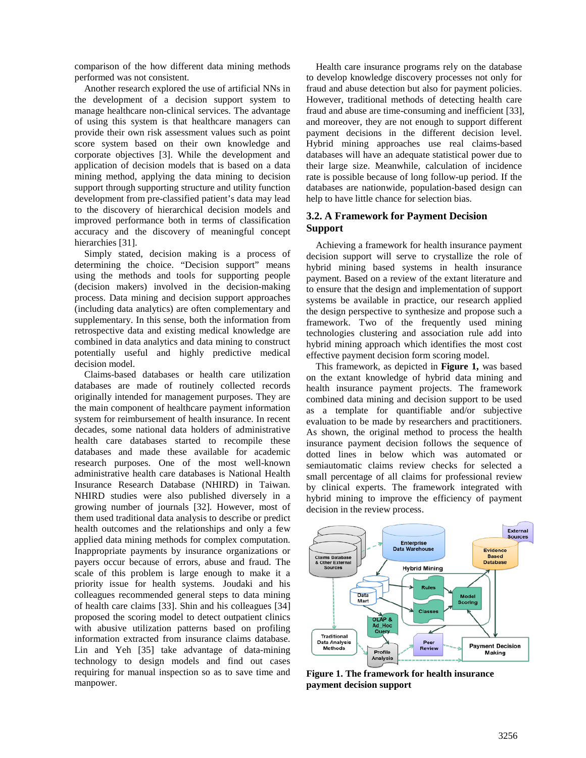comparison of the how different data mining methods performed was not consistent.

 Another research explored the use of artificial NNs in the development of a decision support system to manage healthcare non-clinical services. The advantage of using this system is that healthcare managers can provide their own risk assessment values such as point score system based on their own knowledge and corporate objectives [3]. While the development and application of decision models that is based on a data mining method, applying the data mining to decision support through supporting structure and utility function development from pre-classified patient's data may lead to the discovery of hierarchical decision models and improved performance both in terms of classification accuracy and the discovery of meaningful concept hierarchies [31].

 Simply stated, decision making is a process of determining the choice. "Decision support" means using the methods and tools for supporting people (decision makers) involved in the decision-making process. Data mining and decision support approaches (including data analytics) are often complementary and supplementary. In this sense, both the information from retrospective data and existing medical knowledge are combined in data analytics and data mining to construct potentially useful and highly predictive medical decision model.

 Claims-based databases or health care utilization databases are made of routinely collected records originally intended for management purposes. They are the main component of healthcare payment information system for reimbursement of health insurance. In recent decades, some national data holders of administrative health care databases started to recompile these databases and made these available for academic research purposes. One of the most well-known administrative health care databases is National Health Insurance Research Database (NHIRD) in Taiwan. NHIRD studies were also published diversely in a growing number of journals [32]. However, most of them used traditional data analysis to describe or predict health outcomes and the relationships and only a few applied data mining methods for complex computation. Inappropriate payments by insurance organizations or payers occur because of errors, abuse and fraud. The scale of this problem is large enough to make it a priority issue for health systems. Joudaki and his colleagues recommended general steps to data mining of health care claims [33]. Shin and his colleagues [34] proposed the scoring model to detect outpatient clinics with abusive utilization patterns based on profiling information extracted from insurance claims database. Lin and Yeh [35] take advantage of data-mining technology to design models and find out cases requiring for manual inspection so as to save time and manpower.

 Health care insurance programs rely on the database to develop knowledge discovery processes not only for fraud and abuse detection but also for payment policies. However, traditional methods of detecting health care fraud and abuse are time-consuming and inefficient [33], and moreover, they are not enough to support different payment decisions in the different decision level. Hybrid mining approaches use real claims-based databases will have an adequate statistical power due to their large size. Meanwhile, calculation of incidence rate is possible because of long follow-up period. If the databases are nationwide, population-based design can help to have little chance for selection bias.

# **3.2. A Framework for Payment Decision Support**

 Achieving a framework for health insurance payment decision support will serve to crystallize the role of hybrid mining based systems in health insurance payment. Based on a review of the extant literature and to ensure that the design and implementation of support systems be available in practice, our research applied the design perspective to synthesize and propose such a framework. Two of the frequently used mining technologies clustering and association rule add into hybrid mining approach which identifies the most cost effective payment decision form scoring model.

 This framework, as depicted in **Figure 1,** was based on the extant knowledge of hybrid data mining and health insurance payment projects. The framework combined data mining and decision support to be used as a template for quantifiable and/or subjective evaluation to be made by researchers and practitioners. As shown, the original method to process the health insurance payment decision follows the sequence of dotted lines in below which was automated or semiautomatic claims review checks for selected a small percentage of all claims for professional review by clinical experts. The framework integrated with hybrid mining to improve the efficiency of payment decision in the review process.



**Figure 1. The framework for health insurance payment decision support**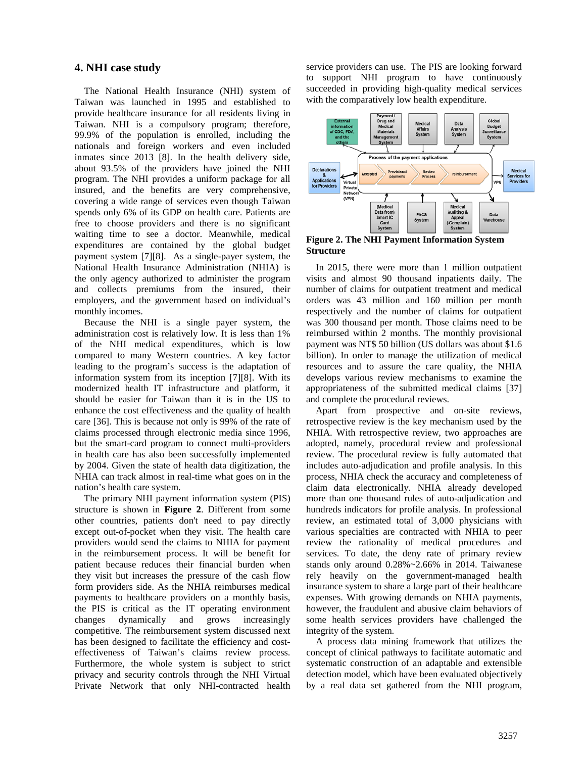#### **4. NHI case study**

 The National Health Insurance (NHI) system of Taiwan was launched in 1995 and established to provide healthcare insurance for all residents living in Taiwan. NHI is a compulsory program; therefore, 99.9% of the population is enrolled, including the nationals and foreign workers and even included inmates since 2013 [8]. In the health delivery side, about 93.5% of the providers have joined the NHI program. The NHI provides a uniform package for all insured, and the benefits are very comprehensive, covering a wide range of services even though Taiwan spends only 6% of its GDP on health care. Patients are free to choose providers and there is no significant waiting time to see a doctor. Meanwhile, medical expenditures are contained by the global budget payment system [7][8]. As a single-payer system, the National Health Insurance Administration (NHIA) is the only agency authorized to administer the program and collects premiums from the insured, their employers, and the government based on individual's monthly incomes.

 Because the NHI is a single payer system, the administration cost is relatively low. It is less than 1% of the NHI medical expenditures, which is low compared to many Western countries. A key factor leading to the program's success is the adaptation of information system from its inception [7][8]. With its modernized health IT infrastructure and platform, it should be easier for Taiwan than it is in the US to enhance the cost effectiveness and the quality of health care [36]. This is because not only is 99% of the rate of claims processed through electronic media since 1996, but the smart-card program to connect multi-providers in health care has also been successfully implemented by 2004. Given the state of health data digitization, the NHIA can track almost in real-time what goes on in the nation's health care system.

 The primary NHI payment information system (PIS) structure is shown in **Figure 2**. Different from some other countries, patients don't need to pay directly except out-of-pocket when they visit. The health care providers would send the claims to NHIA for payment in the reimbursement process. It will be benefit for patient because reduces their financial burden when they visit but increases the pressure of the cash flow form providers side. As the NHIA reimburses medical payments to healthcare providers on a monthly basis, the PIS is critical as the IT operating environment changes dynamically and grows increasingly competitive. The reimbursement system discussed next has been designed to facilitate the efficiency and costeffectiveness of Taiwan's claims review process. Furthermore, the whole system is subject to strict privacy and security controls through the NHI Virtual Private Network that only NHI-contracted health

service providers can use. The PIS are looking forward to support NHI program to have continuously succeeded in providing high-quality medical services with the comparatively low health expenditure.



**Figure 2. The NHI Payment Information System Structure**

 In 2015, there were more than 1 million outpatient visits and almost 90 thousand inpatients daily. The number of claims for outpatient treatment and medical orders was 43 million and 160 million per month respectively and the number of claims for outpatient was 300 thousand per month. Those claims need to be reimbursed within 2 months. The monthly provisional payment was NT\$ 50 billion (US dollars was about \$1.6 billion). In order to manage the utilization of medical resources and to assure the care quality, the NHIA develops various review mechanisms to examine the appropriateness of the submitted medical claims [37] and complete the procedural reviews.

 Apart from prospective and on-site reviews, retrospective review is the key mechanism used by the NHIA. With retrospective review, two approaches are adopted, namely, procedural review and professional review. The procedural review is fully automated that includes auto-adjudication and profile analysis. In this process, NHIA check the accuracy and completeness of claim data electronically. NHIA already developed more than one thousand rules of auto-adjudication and hundreds indicators for profile analysis. In professional review, an estimated total of 3,000 physicians with various specialties are contracted with NHIA to peer review the rationality of medical procedures and services. To date, the deny rate of primary review stands only around 0.28%~2.66% in 2014. Taiwanese rely heavily on the government-managed health insurance system to share a large part of their healthcare expenses. With growing demands on NHIA payments, however, the fraudulent and abusive claim behaviors of some health services providers have challenged the integrity of the system.

 A process data mining framework that utilizes the concept of clinical pathways to facilitate automatic and systematic construction of an adaptable and extensible detection model, which have been evaluated objectively by a real data set gathered from the NHI program,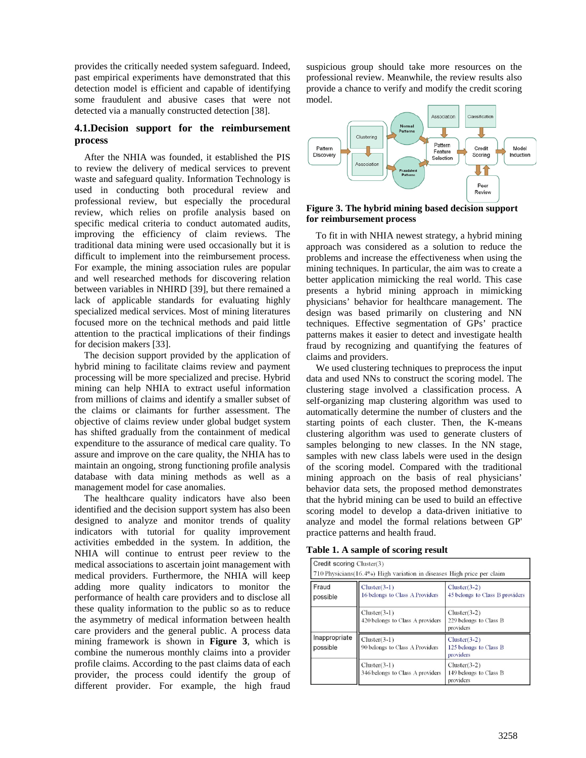provides the critically needed system safeguard. Indeed, past empirical experiments have demonstrated that this detection model is efficient and capable of identifying some fraudulent and abusive cases that were not detected via a manually constructed detection [38].

#### **4.1.Decision support for the reimbursement process**

 After the NHIA was founded, it established the PIS to review the delivery of medical services to prevent waste and safeguard quality. Information Technology is used in conducting both procedural review and professional review, but especially the procedural review, which relies on profile analysis based on specific medical criteria to conduct automated audits, improving the efficiency of claim reviews. The traditional data mining were used occasionally but it is difficult to implement into the reimbursement process. For example, the mining association rules are popular and well researched methods for discovering relation between variables in NHIRD [39], but there remained a lack of applicable standards for evaluating highly specialized medical services. Most of mining literatures focused more on the technical methods and paid little attention to the practical implications of their findings for decision makers [33].

 The decision support provided by the application of hybrid mining to facilitate claims review and payment processing will be more specialized and precise. Hybrid mining can help NHIA to extract useful information from millions of claims and identify a smaller subset of the claims or claimants for further assessment. The objective of claims review under global budget system has shifted gradually from the containment of medical expenditure to the assurance of medical care quality. To assure and improve on the care quality, the NHIA has to maintain an ongoing, strong functioning profile analysis database with data mining methods as well as a management model for case anomalies.

 The healthcare quality indicators have also been identified and the decision support system has also been designed to analyze and monitor trends of quality indicators with tutorial for quality improvement activities embedded in the system. In addition, the NHIA will continue to entrust peer review to the medical associations to ascertain joint management with medical providers. Furthermore, the NHIA will keep adding more quality indicators to monitor the performance of health care providers and to disclose all these quality information to the public so as to reduce the asymmetry of medical information between health care providers and the general public. A process data mining framework is shown in **Figure 3**, which is combine the numerous monthly claims into a provider profile claims. According to the past claims data of each provider, the process could identify the group of different provider. For example, the high fraud

suspicious group should take more resources on the professional review. Meanwhile, the review results also provide a chance to verify and modify the credit scoring model.



#### **Figure 3. The hybrid mining based decision support for reimbursement process**

 To fit in with NHIA newest strategy, a hybrid mining approach was considered as a solution to reduce the problems and increase the effectiveness when using the mining techniques. In particular, the aim was to create a better application mimicking the real world. This case presents a hybrid mining approach in mimicking physicians' behavior for healthcare management. The design was based primarily on clustering and NN techniques. Effective segmentation of GPs' practice patterns makes it easier to detect and investigate health fraud by recognizing and quantifying the features of claims and providers.

 We used clustering techniques to preprocess the input data and used NNs to construct the scoring model. The clustering stage involved a classification process. A self-organizing map clustering algorithm was used to automatically determine the number of clusters and the starting points of each cluster. Then, the K-means clustering algorithm was used to generate clusters of samples belonging to new classes. In the NN stage, samples with new class labels were used in the design of the scoring model. Compared with the traditional mining approach on the basis of real physicians' behavior data sets, the proposed method demonstrates that the hybrid mining can be used to build an effective scoring model to develop a data-driven initiative to analyze and model the formal relations between GP' practice patterns and health fraud.

**Table 1. A sample of scoring result**

| Credit scoring Cluster(3) | 710 Physicians (16.4%) High variation in diseases High price per claim |                                                       |  |  |
|---------------------------|------------------------------------------------------------------------|-------------------------------------------------------|--|--|
| Fraud<br>possible         | $Cluster(3-1)$<br>16 belongs to Class A Providers                      | $Cluster(3-2)$<br>45 belongs to Class B providers     |  |  |
|                           | $Cluster(3-1)$<br>420 belongs to Class A providers                     | $Cluster(3-2)$<br>229 belongs to Class B<br>providers |  |  |
| Inappropriate<br>possible | $Cluster(3-1)$<br>90 belongs to Class A Providers                      | $Cluster(3-2)$<br>125 belongs to Class B<br>providers |  |  |
|                           | $Cluster(3-1)$<br>346 belongs to Class A providers                     | $Cluster(3-2)$<br>149 belongs to Class B<br>providers |  |  |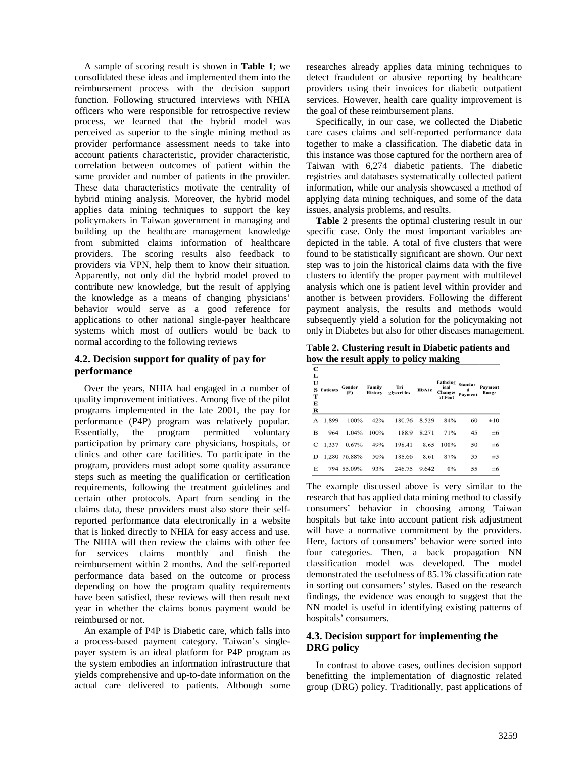A sample of scoring result is shown in **Table 1**; we consolidated these ideas and implemented them into the reimbursement process with the decision support function. Following structured interviews with NHIA officers who were responsible for retrospective review process, we learned that the hybrid model was perceived as superior to the single mining method as provider performance assessment needs to take into account patients characteristic, provider characteristic, correlation between outcomes of patient within the same provider and number of patients in the provider. These data characteristics motivate the centrality of hybrid mining analysis. Moreover, the hybrid model applies data mining techniques to support the key policymakers in Taiwan government in managing and building up the healthcare management knowledge from submitted claims information of healthcare providers. The scoring results also feedback to providers via VPN, help them to know their situation. Apparently, not only did the hybrid model proved to contribute new knowledge, but the result of applying the knowledge as a means of changing physicians' behavior would serve as a good reference for applications to other national single-payer healthcare systems which most of outliers would be back to normal according to the following reviews

#### **4.2. Decision support for quality of pay for performance**

 Over the years, NHIA had engaged in a number of quality improvement initiatives. Among five of the pilot programs implemented in the late 2001, the pay for performance (P4P) program was relatively popular. Essentially, the program permitted voluntary participation by primary care physicians, hospitals, or clinics and other care facilities. To participate in the program, providers must adopt some quality assurance steps such as meeting the qualification or certification requirements, following the treatment guidelines and certain other protocols. Apart from sending in the claims data, these providers must also store their selfreported performance data electronically in a website that is linked directly to NHIA for easy access and use. The NHIA will then review the claims with other fee for services claims monthly and finish the reimbursement within 2 months. And the self-reported performance data based on the outcome or process depending on how the program quality requirements have been satisfied, these reviews will then result next year in whether the claims bonus payment would be reimbursed or not.

 An example of P4P is Diabetic care, which falls into a process-based payment category. Taiwan's singlepayer system is an ideal platform for P4P program as the system embodies an information infrastructure that yields comprehensive and up-to-date information on the actual care delivered to patients. Although some

researches already applies data mining techniques to detect fraudulent or abusive reporting by healthcare providers using their invoices for diabetic outpatient services. However, health care quality improvement is the goal of these reimbursement plans.

 Specifically, in our case, we collected the Diabetic care cases claims and self-reported performance data together to make a classification. The diabetic data in this instance was those captured for the northern area of Taiwan with 6,274 diabetic patients. The diabetic registries and databases systematically collected patient information, while our analysis showcased a method of applying data mining techniques, and some of the data issues, analysis problems, and results.

 **Table 2** presents the optimal clustering result in our specific case. Only the most important variables are depicted in the table. A total of five clusters that were found to be statistically significant are shown. Our next step was to join the historical claims data with the five clusters to identify the proper payment with multilevel analysis which one is patient level within provider and another is between providers. Following the different payment analysis, the results and methods would subsequently yield a solution for the policymaking not only in Diabetes but also for other diseases management.

**Table 2. Clustering result in Diabetic patients and how the result apply to policy making**

| С<br>L<br>U<br>s<br>т<br>Е<br>$\bf R$ | <b>Patients</b> | Gender<br>(F) | Family<br><b>History</b> | Tri<br>glycerides | HbA1c | Patholog<br>ical<br><b>Changes</b><br>of Foot | <b>Standar</b><br>d<br>Payment | Payment<br>Range |
|---------------------------------------|-----------------|---------------|--------------------------|-------------------|-------|-----------------------------------------------|--------------------------------|------------------|
| А                                     | 1,899           | 100%          | 42%                      | 180.76            | 8.529 | 84%                                           | 60                             | $\pm 10$         |
| B                                     | 964             | 1.04%         | 100%                     | 188.9             | 8.271 | 71%                                           | 45                             | $\pm 6$          |
| C                                     | 1.337           | 0.67%         | 49%                      | 198.41            | 8.65  | 100%                                          | 50                             | ±6               |
| D                                     |                 | 1.280 76.88%  | 50%                      | 188.66            | 8.61  | 87%                                           | 35                             | $\pm 3$          |
| Е                                     |                 | 794 55.09%    | 93%                      | 246.75            | 9.642 | $0\%$                                         | 55                             | $\pm 6$          |

The example discussed above is very similar to the research that has applied data mining method to classify consumers' behavior in choosing among Taiwan hospitals but take into account patient risk adjustment will have a normative commitment by the providers. Here, factors of consumers' behavior were sorted into four categories. Then, a back propagation NN classification model was developed. The model demonstrated the usefulness of 85.1% classification rate in sorting out consumers' styles. Based on the research findings, the evidence was enough to suggest that the NN model is useful in identifying existing patterns of hospitals' consumers.

#### **4.3. Decision support for implementing the DRG policy**

 In contrast to above cases, outlines decision support benefitting the implementation of diagnostic related group (DRG) policy. Traditionally, past applications of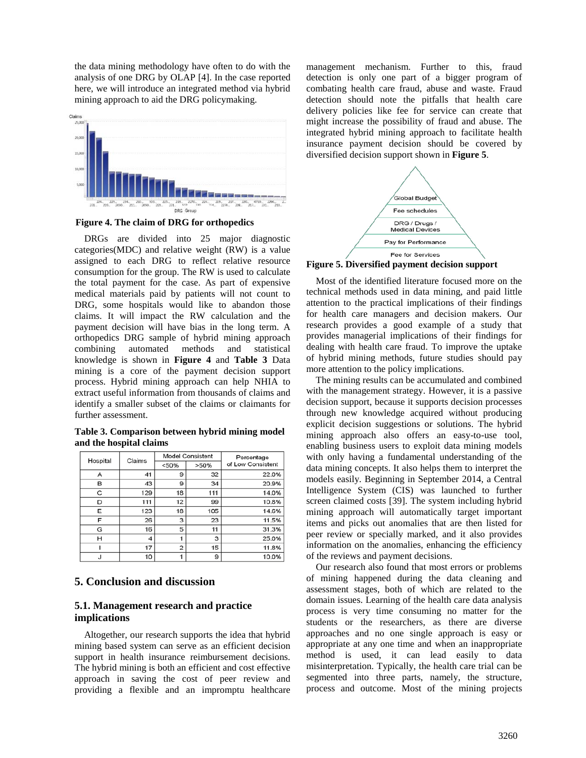the data mining methodology have often to do with the analysis of one DRG by OLAP [4]. In the case reported here, we will introduce an integrated method via hybrid mining approach to aid the DRG policymaking.



 **Figure 4. The claim of DRG for orthopedics**

 DRGs are divided into 25 major diagnostic categories(MDC) and relative weight (RW) is a value assigned to each DRG to reflect relative resource consumption for the group. The RW is used to calculate the total payment for the case. As part of expensive medical materials paid by patients will not count to DRG, some hospitals would like to abandon those claims. It will impact the RW calculation and the payment decision will have bias in the long term. A orthopedics DRG sample of hybrid mining approach combining automated methods and statistical knowledge is shown in **Figure 4** and **Table 3** Data mining is a core of the payment decision support process. Hybrid mining approach can help NHIA to extract useful information from thousands of claims and identify a smaller subset of the claims or claimants for further assessment.

**Table 3. Comparison between hybrid mining model and the hospital claims** 

|          | Claims              | <b>Model Consistent</b> |      | Percentage        |  |
|----------|---------------------|-------------------------|------|-------------------|--|
| Hospital |                     | < 50%                   | >50% | of Low Consistent |  |
| А        | 41                  | 9                       | 32   | 22.0%             |  |
| в        | 43                  | 9                       | 34   | 20.9%             |  |
| C        | 129                 | 18                      | 111  | 14.0%             |  |
| D        | 111                 | 12                      | 99   | 10.8%             |  |
| Е        | 123                 | 18                      | 105  | 14.6%             |  |
| F        | 26                  | 3                       | 23   | 11.5%             |  |
| G        | 16                  | 5                       | 11   | 31.3%             |  |
| н        | $\overline{\bf{4}}$ |                         | 3    | 25.0%             |  |
|          | 17                  | $\overline{2}$          | 15   | 11.8%             |  |
|          | 10                  |                         | 9    | 10.0%             |  |

# **5. Conclusion and discussion**

#### **5.1. Management research and practice implications**

 Altogether, our research supports the idea that hybrid mining based system can serve as an efficient decision support in health insurance reimbursement decisions. The hybrid mining is both an efficient and cost effective approach in saving the cost of peer review and providing a flexible and an impromptu healthcare

management mechanism. Further to this, fraud detection is only one part of a bigger program of combating health care fraud, abuse and waste. Fraud detection should note the pitfalls that health care delivery policies like fee for service can create that might increase the possibility of fraud and abuse. The integrated hybrid mining approach to facilitate health insurance payment decision should be covered by diversified decision support shown in **Figure 5**.



**Figure 5. Diversified payment decision support**

 Most of the identified literature focused more on the technical methods used in data mining, and paid little attention to the practical implications of their findings for health care managers and decision makers. Our research provides a good example of a study that provides managerial implications of their findings for dealing with health care fraud. To improve the uptake of hybrid mining methods, future studies should pay more attention to the policy implications.

 The mining results can be accumulated and combined with the management strategy. However, it is a passive decision support, because it supports decision processes through new knowledge acquired without producing explicit decision suggestions or solutions. The hybrid mining approach also offers an easy-to-use tool, enabling business users to exploit data mining models with only having a fundamental understanding of the data mining concepts. It also helps them to interpret the models easily. Beginning in September 2014, a Central Intelligence System (CIS) was launched to further screen claimed costs [39]. The system including hybrid mining approach will automatically target important items and picks out anomalies that are then listed for peer review or specially marked, and it also provides information on the anomalies, enhancing the efficiency of the reviews and payment decisions.

 Our research also found that most errors or problems of mining happened during the data cleaning and assessment stages, both of which are related to the domain issues. Learning of the health care data analysis process is very time consuming no matter for the students or the researchers, as there are diverse approaches and no one single approach is easy or appropriate at any one time and when an inappropriate method is used, it can lead easily to data misinterpretation. Typically, the health care trial can be segmented into three parts, namely, the structure, process and outcome. Most of the mining projects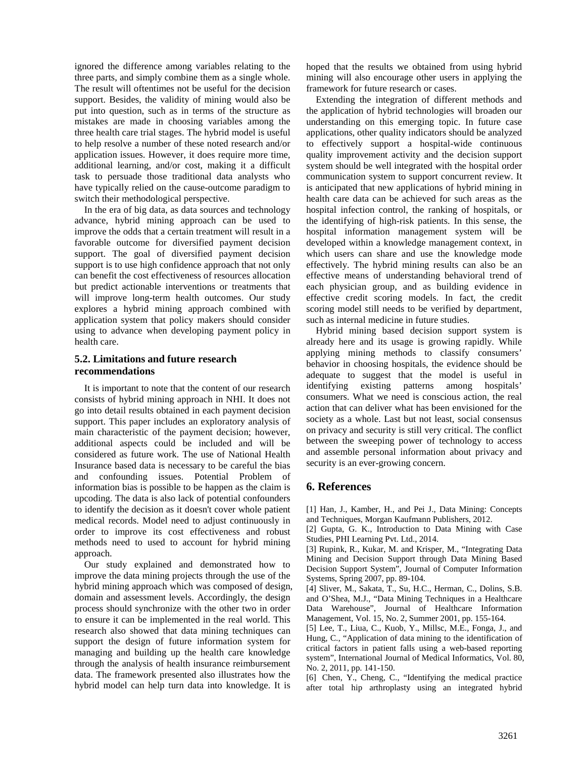ignored the difference among variables relating to the three parts, and simply combine them as a single whole. The result will oftentimes not be useful for the decision support. Besides, the validity of mining would also be put into question, such as in terms of the structure as mistakes are made in choosing variables among the three health care trial stages. The hybrid model is useful to help resolve a number of these noted research and/or application issues. However, it does require more time, additional learning, and/or cost, making it a difficult task to persuade those traditional data analysts who have typically relied on the cause-outcome paradigm to switch their methodological perspective.

 In the era of big data, as data sources and technology advance, hybrid mining approach can be used to improve the odds that a certain treatment will result in a favorable outcome for diversified payment decision support. The goal of diversified payment decision support is to use high confidence approach that not only can benefit the cost effectiveness of resources allocation but predict actionable interventions or treatments that will improve long-term health outcomes. Our study explores a hybrid mining approach combined with application system that policy makers should consider using to advance when developing payment policy in health care.

#### **5.2. Limitations and future research recommendations**

 It is important to note that the content of our research consists of hybrid mining approach in NHI. It does not go into detail results obtained in each payment decision support. This paper includes an exploratory analysis of main characteristic of the payment decision; however, additional aspects could be included and will be considered as future work. The use of National Health Insurance based data is necessary to be careful the bias and confounding issues. Potential Problem of information bias is possible to be happen as the claim is upcoding. The data is also lack of potential confounders to identify the decision as it doesn't cover whole patient medical records. Model need to adjust continuously in order to improve its cost effectiveness and robust methods need to used to account for hybrid mining approach.

 Our study explained and demonstrated how to improve the data mining projects through the use of the hybrid mining approach which was composed of design, domain and assessment levels. Accordingly, the design process should synchronize with the other two in order to ensure it can be implemented in the real world. This research also showed that data mining techniques can support the design of future information system for managing and building up the health care knowledge through the analysis of health insurance reimbursement data. The framework presented also illustrates how the hybrid model can help turn data into knowledge. It is

hoped that the results we obtained from using hybrid mining will also encourage other users in applying the framework for future research or cases.

 Extending the integration of different methods and the application of hybrid technologies will broaden our understanding on this emerging topic. In future case applications, other quality indicators should be analyzed to effectively support a hospital-wide continuous quality improvement activity and the decision support system should be well integrated with the hospital order communication system to support concurrent review. It is anticipated that new applications of hybrid mining in health care data can be achieved for such areas as the hospital infection control, the ranking of hospitals, or the identifying of high-risk patients. In this sense, the hospital information management system will be developed within a knowledge management context, in which users can share and use the knowledge mode effectively. The hybrid mining results can also be an effective means of understanding behavioral trend of each physician group, and as building evidence in effective credit scoring models. In fact, the credit scoring model still needs to be verified by department, such as internal medicine in future studies.

 Hybrid mining based decision support system is already here and its usage is growing rapidly. While applying mining methods to classify consumers' behavior in choosing hospitals, the evidence should be adequate to suggest that the model is useful in identifying existing patterns among hospitals' consumers. What we need is conscious action, the real action that can deliver what has been envisioned for the society as a whole. Last but not least, social consensus on privacy and security is still very critical. The conflict between the sweeping power of technology to access and assemble personal information about privacy and security is an ever-growing concern.

# **6. References**

[1] Han, J., Kamber, H., and Pei J., Data Mining: Concepts and Techniques, Morgan Kaufmann Publishers, 2012.

[2] Gupta, G. K., Introduction to Data Mining with Case Studies, PHI Learning Pvt. Ltd., 2014.

[3] Rupink, R., Kukar, M. and Krisper, M., "Integrating Data Mining and Decision Support through Data Mining Based Decision Support System", Journal of Computer Information Systems, Spring 2007, pp. 89-104.

[4] Sliver, M., Sakata, T., Su, H.C., Herman, C., Dolins, S.B. and O'Shea, M.J., "Data Mining Techniques in a Healthcare Data Warehouse", Journal of Healthcare Information Management, Vol. 15, No. 2, Summer 2001, pp. 155-164.

[5] Lee, T., Liua, C., Kuob, Y., Millsc, M.E., Fonga, J., and Hung, C., "Application of data mining to the identification of critical factors in patient falls using a web-based reporting system", International Journal of Medical Informatics, Vol. 80, No. 2, 2011, pp. 141-150.

[6] Chen, Y., Cheng, C., "Identifying the medical practice after total hip arthroplasty using an integrated hybrid